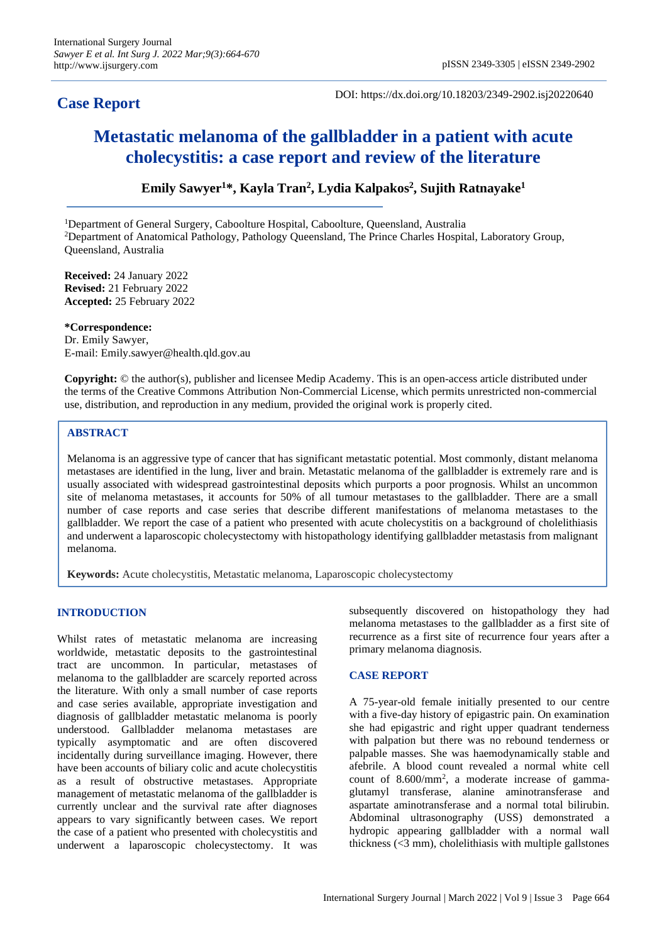# **Case Report**

DOI: https://dx.doi.org/10.18203/2349-2902.isj20220640

# **Metastatic melanoma of the gallbladder in a patient with acute cholecystitis: a case report and review of the literature**

**Emily Sawyer<sup>1</sup>\*, Kayla Tran<sup>2</sup> , Lydia Kalpakos<sup>2</sup> , Sujith Ratnayake<sup>1</sup>**

<sup>1</sup>Department of General Surgery, Caboolture Hospital, Caboolture, Queensland, Australia <sup>2</sup>Department of Anatomical Pathology, Pathology Queensland, The Prince Charles Hospital, Laboratory Group, Queensland, Australia

**Received:** 24 January 2022 **Revised:** 21 February 2022 **Accepted:** 25 February 2022

#### **\*Correspondence:**

Dr. Emily Sawyer, E-mail: Emily.sawyer@health.qld.gov.au

**Copyright:** © the author(s), publisher and licensee Medip Academy. This is an open-access article distributed under the terms of the Creative Commons Attribution Non-Commercial License, which permits unrestricted non-commercial use, distribution, and reproduction in any medium, provided the original work is properly cited.

# **ABSTRACT**

Melanoma is an aggressive type of cancer that has significant metastatic potential. Most commonly, distant melanoma metastases are identified in the lung, liver and brain. Metastatic melanoma of the gallbladder is extremely rare and is usually associated with widespread gastrointestinal deposits which purports a poor prognosis. Whilst an uncommon site of melanoma metastases, it accounts for 50% of all tumour metastases to the gallbladder. There are a small number of case reports and case series that describe different manifestations of melanoma metastases to the gallbladder. We report the case of a patient who presented with acute cholecystitis on a background of cholelithiasis and underwent a laparoscopic cholecystectomy with histopathology identifying gallbladder metastasis from malignant melanoma.

**Keywords:** Acute cholecystitis, Metastatic melanoma, Laparoscopic cholecystectomy

#### **INTRODUCTION**

Whilst rates of metastatic melanoma are increasing worldwide, metastatic deposits to the gastrointestinal tract are uncommon. In particular, metastases of melanoma to the gallbladder are scarcely reported across the literature. With only a small number of case reports and case series available, appropriate investigation and diagnosis of gallbladder metastatic melanoma is poorly understood. Gallbladder melanoma metastases are typically asymptomatic and are often discovered incidentally during surveillance imaging. However, there have been accounts of biliary colic and acute cholecystitis as a result of obstructive metastases. Appropriate management of metastatic melanoma of the gallbladder is currently unclear and the survival rate after diagnoses appears to vary significantly between cases. We report the case of a patient who presented with cholecystitis and underwent a laparoscopic cholecystectomy. It was subsequently discovered on histopathology they had melanoma metastases to the gallbladder as a first site of recurrence as a first site of recurrence four years after a primary melanoma diagnosis.

### **CASE REPORT**

A 75-year-old female initially presented to our centre with a five-day history of epigastric pain. On examination she had epigastric and right upper quadrant tenderness with palpation but there was no rebound tenderness or palpable masses. She was haemodynamically stable and afebrile. A blood count revealed a normal white cell count of 8.600/mm<sup>2</sup>, a moderate increase of gammaglutamyl transferase, alanine aminotransferase and aspartate aminotransferase and a normal total bilirubin. Abdominal ultrasonography (USS) demonstrated a hydropic appearing gallbladder with a normal wall thickness (<3 mm), cholelithiasis with multiple gallstones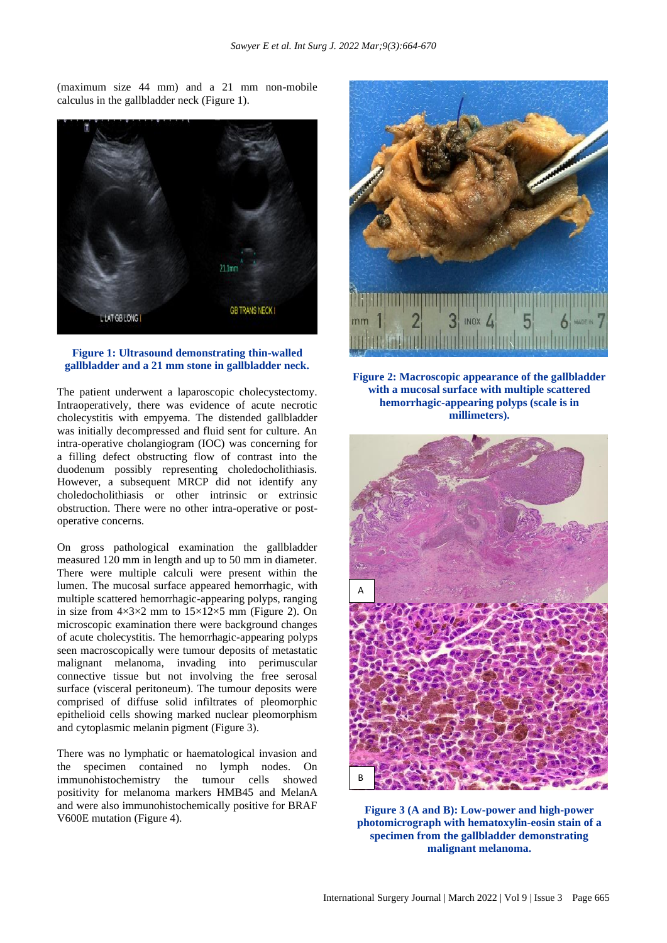(maximum size 44 mm) and a 21 mm non-mobile calculus in the gallbladder neck (Figure 1).



#### **Figure 1: Ultrasound demonstrating thin-walled gallbladder and a 21 mm stone in gallbladder neck.**

The patient underwent a laparoscopic cholecystectomy. Intraoperatively, there was evidence of acute necrotic cholecystitis with empyema. The distended gallbladder was initially decompressed and fluid sent for culture. An intra-operative cholangiogram (IOC) was concerning for a filling defect obstructing flow of contrast into the duodenum possibly representing choledocholithiasis. However, a subsequent MRCP did not identify any choledocholithiasis or other intrinsic or extrinsic obstruction. There were no other intra-operative or postoperative concerns.

On gross pathological examination the gallbladder measured 120 mm in length and up to 50 mm in diameter. There were multiple calculi were present within the lumen. The mucosal surface appeared hemorrhagic, with multiple scattered hemorrhagic-appearing polyps, ranging in size from  $4 \times 3 \times 2$  mm to  $15 \times 12 \times 5$  mm (Figure 2). On microscopic examination there were background changes of acute cholecystitis. The hemorrhagic-appearing polyps seen macroscopically were tumour deposits of metastatic malignant melanoma, invading into perimuscular connective tissue but not involving the free serosal surface (visceral peritoneum). The tumour deposits were comprised of diffuse solid infiltrates of pleomorphic epithelioid cells showing marked nuclear pleomorphism and cytoplasmic melanin pigment (Figure 3).

There was no lymphatic or haematological invasion and the specimen contained no lymph nodes. On immunohistochemistry the tumour cells showed positivity for melanoma markers HMB45 and MelanA and were also immunohistochemically positive for BRAF V600E mutation (Figure 4).



**Figure 2: Macroscopic appearance of the gallbladder with a mucosal surface with multiple scattered hemorrhagic-appearing polyps (scale is in millimeters).**



**Figure 3 (A and B): Low-power and high-power photomicrograph with hematoxylin-eosin stain of a specimen from the gallbladder demonstrating malignant melanoma.**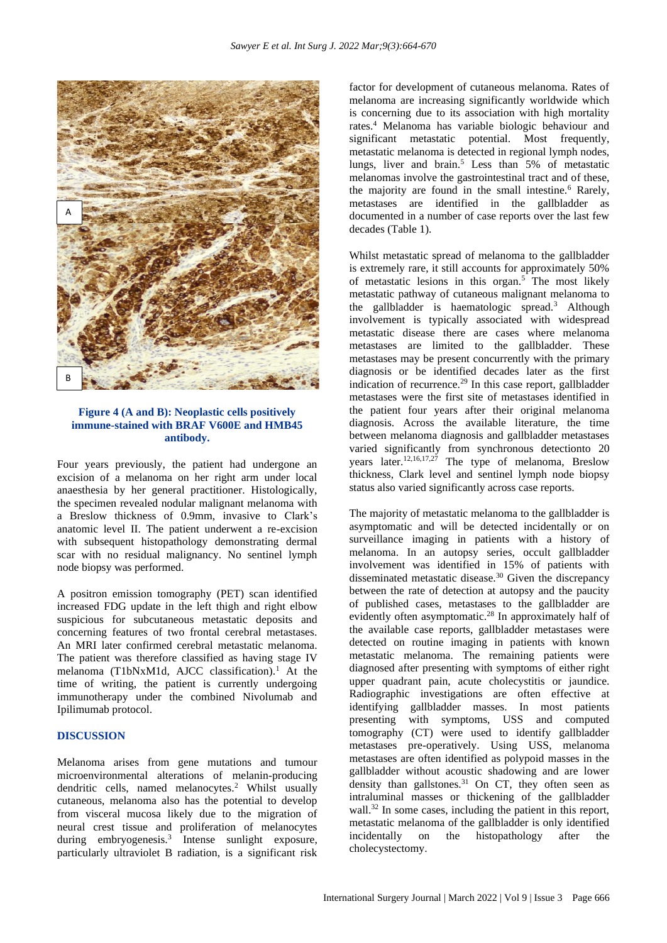

#### **Figure 4 (A and B): Neoplastic cells positively immune-stained with BRAF V600E and HMB45 antibody.**

Four years previously, the patient had undergone an excision of a melanoma on her right arm under local anaesthesia by her general practitioner. Histologically, the specimen revealed nodular malignant melanoma with a Breslow thickness of 0.9mm, invasive to Clark's anatomic level II. The patient underwent a re-excision with subsequent histopathology demonstrating dermal scar with no residual malignancy. No sentinel lymph node biopsy was performed.

A positron emission tomography (PET) scan identified increased FDG update in the left thigh and right elbow suspicious for subcutaneous metastatic deposits and concerning features of two frontal cerebral metastases. An MRI later confirmed cerebral metastatic melanoma. The patient was therefore classified as having stage IV melanoma (T1bNxM1d, AJCC classification).<sup>1</sup> At the time of writing, the patient is currently undergoing immunotherapy under the combined Nivolumab and Ipilimumab protocol.

#### **DISCUSSION**

Melanoma arises from gene mutations and tumour microenvironmental alterations of melanin-producing dendritic cells, named melanocytes.<sup>2</sup> Whilst usually cutaneous, melanoma also has the potential to develop from visceral mucosa likely due to the migration of neural crest tissue and proliferation of melanocytes during embryogenesis.<sup>3</sup> Intense sunlight exposure, particularly ultraviolet B radiation, is a significant risk factor for development of cutaneous melanoma. Rates of melanoma are increasing significantly worldwide which is concerning due to its association with high mortality rates.<sup>4</sup> Melanoma has variable biologic behaviour and significant metastatic potential. Most frequently, metastatic melanoma is detected in regional lymph nodes, lungs, liver and brain.<sup>5</sup> Less than 5% of metastatic melanomas involve the gastrointestinal tract and of these, the majority are found in the small intestine.<sup>6</sup> Rarely, metastases are identified in the gallbladder as documented in a number of case reports over the last few decades (Table 1).

Whilst metastatic spread of melanoma to the gallbladder is extremely rare, it still accounts for approximately 50% of metastatic lesions in this organ.<sup>5</sup> The most likely metastatic pathway of cutaneous malignant melanoma to the gallbladder is haematologic spread.<sup>3</sup> Although involvement is typically associated with widespread metastatic disease there are cases where melanoma metastases are limited to the gallbladder. These metastases may be present concurrently with the primary diagnosis or be identified decades later as the first indication of recurrence.<sup>29</sup> In this case report, gallbladder metastases were the first site of metastases identified in the patient four years after their original melanoma diagnosis. Across the available literature, the time between melanoma diagnosis and gallbladder metastases varied significantly from synchronous detectionto 20 years later.12,16,17,27 The type of melanoma, Breslow thickness, Clark level and sentinel lymph node biopsy status also varied significantly across case reports.

The majority of metastatic melanoma to the gallbladder is asymptomatic and will be detected incidentally or on surveillance imaging in patients with a history of melanoma. In an autopsy series, occult gallbladder involvement was identified in 15% of patients with disseminated metastatic disease.<sup>30</sup> Given the discrepancy between the rate of detection at autopsy and the paucity of published cases, metastases to the gallbladder are evidently often asymptomatic.<sup>28</sup> In approximately half of the available case reports, gallbladder metastases were detected on routine imaging in patients with known metastatic melanoma. The remaining patients were diagnosed after presenting with symptoms of either right upper quadrant pain, acute cholecystitis or jaundice. Radiographic investigations are often effective at identifying gallbladder masses. In most patients presenting with symptoms, USS and computed tomography (CT) were used to identify gallbladder metastases pre-operatively. Using USS, melanoma metastases are often identified as polypoid masses in the gallbladder without acoustic shadowing and are lower density than gallstones.<sup>31</sup> On CT, they often seen as intraluminal masses or thickening of the gallbladder wall.<sup>32</sup> In some cases, including the patient in this report, metastatic melanoma of the gallbladder is only identified incidentally on the histopathology after the cholecystectomy.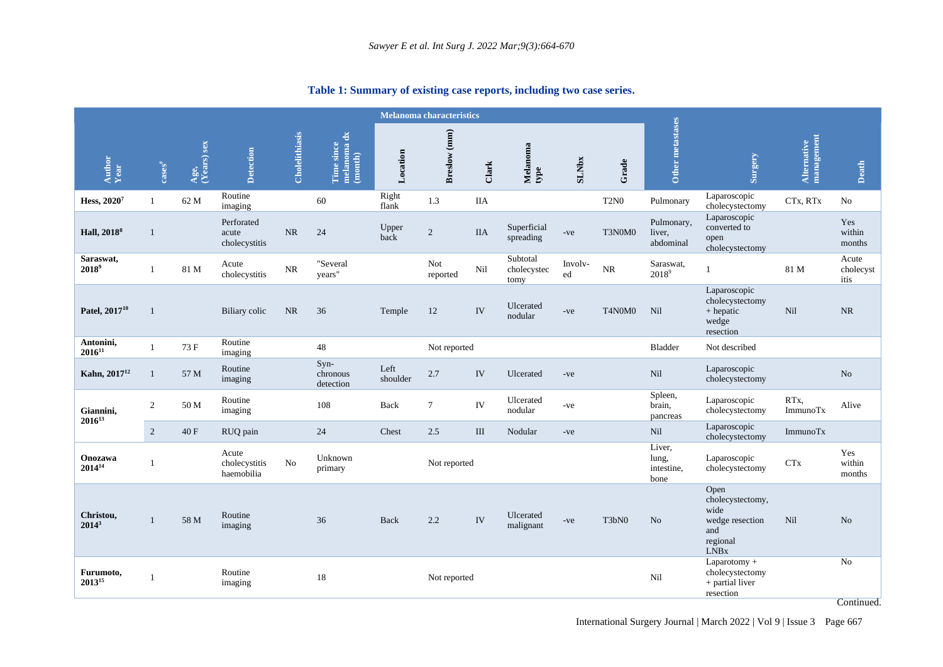#### **Table 1: Summary of existing case reports, including two case series.**

|                                 | <b>Melanoma characteristics</b> |                     |                                      |                |                                                    |                  |                 |                                  |                                 |               |             |                                       |                                                                                                   |                             |                            |
|---------------------------------|---------------------------------|---------------------|--------------------------------------|----------------|----------------------------------------------------|------------------|-----------------|----------------------------------|---------------------------------|---------------|-------------|---------------------------------------|---------------------------------------------------------------------------------------------------|-----------------------------|----------------------------|
| Author<br>Year                  | $\csc^*$                        | Age,<br>(Years) sex | <b>Detection</b>                     | Cholelithiasis | $\frac{1}{2}$<br>Time since<br>melanoma<br>(month) | Location         | Breslow (mm)    | Clark                            | Melanoma<br>type                | <b>SLNbx</b>  | Grade       | Other metastases                      | Surgery                                                                                           | Alternative<br>management   | Death                      |
| Hess, 20207                     | 1                               | 62 M                | Routine<br>imaging                   |                | 60                                                 | Right<br>flank   | 1.3             | <b>IIA</b>                       |                                 |               | <b>T2N0</b> | Pulmonary                             | Laparoscopic<br>cholecystectomy                                                                   | CTx, RTx                    | No                         |
| Hall, 2018 <sup>8</sup>         | $\overline{1}$                  |                     | Perforated<br>acute<br>cholecystitis | <b>NR</b>      | 24                                                 | Upper<br>back    | $\overline{2}$  | <b>IIA</b>                       | Superficial<br>spreading        | $-ve$         | T3N0M0      | Pulmonary,<br>liver.<br>abdominal     | Laparoscopic<br>converted to<br>open<br>cholecystectomy                                           |                             | Yes<br>within<br>months    |
| Saraswat,<br>2018 <sup>9</sup>  | $\mathbf{1}$                    | 81 M                | Acute<br>cholecystitis               | <b>NR</b>      | "Several<br>years"                                 |                  | Not<br>reported | Nil                              | Subtotal<br>cholecystec<br>tomy | Involv-<br>ed | NR          | Saraswat,<br>$2018^9$                 | $\mathbf{1}$                                                                                      | 81 M                        | Acute<br>cholecyst<br>itis |
| Patel, 2017 <sup>10</sup>       | $\mathbf{1}$                    |                     | Biliary colic                        | <b>NR</b>      | 36                                                 | Temple           | 12              | ${\rm IV}$                       | Ulcerated<br>nodular            | -ve           | T4N0M0      | Nil                                   | Laparoscopic<br>cholecystectomy<br>$+$ hepatic<br>wedge<br>resection                              | Nil                         | <b>NR</b>                  |
| Antonini,<br>$2016^{11}$        | 1                               | 73 F                | Routine<br>imaging                   |                | 48                                                 |                  | Not reported    |                                  |                                 |               |             | Bladder                               | Not described                                                                                     |                             |                            |
| Kahn, 2017 <sup>12</sup>        | $\mathbf{1}$                    | 57 M                | Routine<br>imaging                   |                | $Syn-$<br>chronous<br>detection                    | Left<br>shoulder | 2.7             | IV                               | Ulcerated                       | -ve           |             | Nil                                   | Laparoscopic<br>cholecystectomy                                                                   |                             | N <sub>o</sub>             |
| Giannini,<br>2016 <sup>13</sup> | 2                               | 50 M                | Routine<br>imaging                   |                | 108                                                | Back             | $\tau$          | ${\rm IV}$                       | Ulcerated<br>nodular            | -ve           |             | Spleen,<br>brain.<br>pancreas         | Laparoscopic<br>cholecystectomy                                                                   | RT <sub>x</sub><br>ImmunoTx | Alive                      |
|                                 | 2                               | 40 F                | RUQ pain                             |                | 24                                                 | Chest            | 2.5             | $\mathop{\mathrm{III}}\nolimits$ | Nodular                         | -ve           |             | Nil                                   | Laparoscopic<br>cholecystectomy                                                                   | ImmunoTx                    |                            |
| Onozawa<br>$2014^{14}$          | 1                               |                     | Acute<br>cholecystitis<br>haemobilia | No             | Unknown<br>primary                                 |                  | Not reported    |                                  |                                 |               |             | Liver,<br>lung,<br>intestine,<br>bone | Laparoscopic<br>cholecystectomy                                                                   | <b>CTx</b>                  | Yes<br>within<br>months    |
| Christou,<br>$2014^3$           | $\mathbf{1}$                    | 58 M                | Routine<br>imaging                   |                | 36                                                 | Back             | $2.2^{\circ}$   | ${\rm IV}$                       | Ulcerated<br>malignant          | $-ve$         | T3bN0       | N <sub>o</sub>                        | Open<br>cholecystectomy,<br>wide<br>wedge resection<br>and<br>regional<br><b>LNB</b> <sub>x</sub> | Nil                         | N <sub>o</sub>             |
| Furumoto,<br>2013 <sup>15</sup> | $\mathbf{1}$                    |                     | Routine<br>imaging                   |                | 18                                                 |                  | Not reported    |                                  |                                 |               |             | Nil                                   | $Laparotomy +$<br>cholecystectomy<br>+ partial liver<br>resection                                 |                             | No<br>Confinu              |

Continued.

International Surgery Journal | March 2022 | Vol 9 | Issue 3 Page 667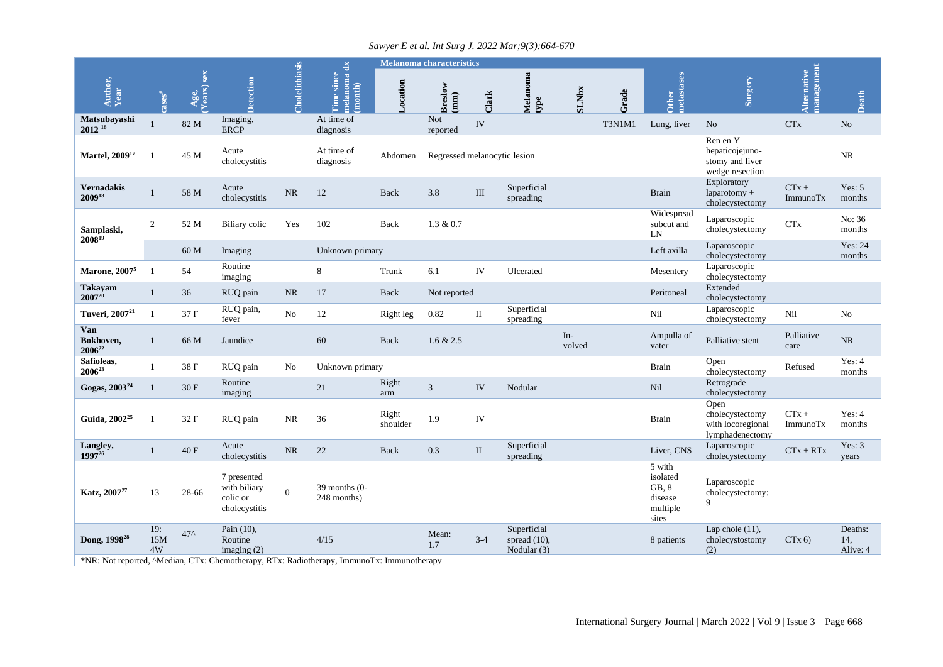## *Sawyer E et al. Int Surg J. 2022 Mar;9(3):664-670*

|                                 | $\frac{4}{\pi}$  | sex<br>Age,<br>(Years) : | <b>Detection</b>                                         | Cholelithiasis | $\mathbf{d}$<br>Time since<br>melanoma c<br>(month)                                               | <b>Melanoma characteristics</b> |                              |                             |                                               |               |        |                                                             |                                                                   |                                  |                            |
|---------------------------------|------------------|--------------------------|----------------------------------------------------------|----------------|---------------------------------------------------------------------------------------------------|---------------------------------|------------------------------|-----------------------------|-----------------------------------------------|---------------|--------|-------------------------------------------------------------|-------------------------------------------------------------------|----------------------------------|----------------------------|
| Author,<br>Year                 |                  |                          |                                                          |                |                                                                                                   | Location                        | Breslow<br>$\bf (mm)$        | Clark                       | Melanoma<br>type                              | <b>SLNbx</b>  | Grade  | metastases<br>Other                                         | Surgery                                                           | nanagement<br><b>Alternative</b> | Death                      |
| Matsubayashi<br>$2012^{16}$     |                  | 82 M                     | Imaging,<br><b>ERCP</b>                                  |                | At time of<br>diagnosis                                                                           |                                 | <b>Not</b><br>reported       | IV                          |                                               |               | T3N1M1 | Lung, liver                                                 | N <sub>o</sub>                                                    | CTx                              | N <sub>o</sub>             |
| Martel, 2009 <sup>17</sup>      |                  | 45 M                     | Acute<br>cholecystitis                                   |                | At time of<br>diagnosis                                                                           | Abdomen                         | Regressed melanocytic lesion |                             |                                               |               |        |                                                             | Ren en Y<br>hepaticojejuno-<br>stomy and liver<br>wedge resection |                                  | NR                         |
| <b>Vernadakis</b><br>200918     |                  | 58 M                     | Acute<br>cholecystitis                                   | NR             | 12                                                                                                | <b>Back</b>                     | 3.8                          | $\mathop{\rm III}\nolimits$ | Superficial<br>spreading                      |               |        | <b>Brain</b>                                                | Exploratory<br>$laparotomy +$<br>cholecystectomy                  | $CTx +$<br>ImmunoTx              | Yes: $5$<br>months         |
| Samplaski,<br>$2008^{19}$       | 2                | 52 M                     | Biliary colic                                            | Yes            | 102                                                                                               | Back                            | $1.3 \& 0.7$                 |                             |                                               |               |        | Widespread<br>subcut and<br>LN                              | Laparoscopic<br>cholecystectomy                                   | <b>CT<sub>x</sub></b>            | No: 36<br>months           |
|                                 |                  | 60 M                     | Imaging                                                  |                | Unknown primary                                                                                   |                                 |                              |                             |                                               |               |        | Left axilla                                                 | Laparoscopic<br>cholecystectomy                                   |                                  | Yes: 24<br>months          |
| <b>Marone, 2007<sup>5</sup></b> | $\mathbf{1}$     | 54                       | Routine<br>imaging                                       |                | 8                                                                                                 | Trunk                           | 6.1                          | IV                          | Ulcerated                                     |               |        | Mesentery                                                   | Laparoscopic<br>cholecystectomy                                   |                                  |                            |
| Takayam<br>$2007^{20}$          |                  | 36                       | RUQ pain                                                 | <b>NR</b>      | 17                                                                                                | Back                            | Not reported                 |                             |                                               |               |        | Peritoneal                                                  | Extended<br>cholecystectomy                                       |                                  |                            |
| Tuveri, 2007 <sup>21</sup>      | $\mathbf{1}$     | 37 F                     | RUQ pain,<br>fever                                       | N <sub>0</sub> | 12                                                                                                | Right leg                       | 0.82                         | $\rm II$                    | Superficial<br>spreading                      |               |        | Nil                                                         | Laparoscopic<br>cholecystectomy                                   | Nil                              | No                         |
| Van<br>Bokhoven,<br>$2006^{22}$ | $\mathbf{1}$     | 66 M                     | Jaundice                                                 |                | 60                                                                                                | Back                            | 1.6 & 2.5                    |                             |                                               | In-<br>volved |        | Ampulla of<br>vater                                         | Palliative stent                                                  | Palliative<br>care               | <b>NR</b>                  |
| Safioleas,<br>$2006^{23}$       | $\mathbf{1}$     | 38F                      | RUQ pain                                                 | N <sub>o</sub> | Unknown primary                                                                                   |                                 |                              |                             |                                               |               |        | <b>Brain</b>                                                | Open<br>cholecystectomy                                           | Refused                          | Yes: $4$<br>months         |
| Gogas, 2003 <sup>24</sup>       | $\mathbf{1}$     | 30 F                     | Routine<br>imaging                                       |                | 21                                                                                                | Right<br>arm                    | 3                            | IV                          | Nodular                                       |               |        | Nil                                                         | Retrograde<br>cholecystectomy                                     |                                  |                            |
| Guida, 2002 <sup>25</sup>       |                  | 32 F                     | RUQ pain                                                 | <b>NR</b>      | 36                                                                                                | Right<br>shoulder               | 1.9                          | IV                          |                                               |               |        | <b>Brain</b>                                                | Open<br>cholecystectomy<br>with locoregional<br>lymphadenectomy   | $CTx +$<br>ImmunoTx              | Yes: $4$<br>months         |
| Langley,<br>199726              |                  | 40 F                     | Acute<br>cholecystitis                                   | NR             | 22                                                                                                | Back                            | 0.3                          | $\rm II$                    | Superficial<br>spreading                      |               |        | Liver, CNS                                                  | Laparoscopic<br>cholecystectomy                                   | $\mathbf{CTx}+\mathbf{RTx}$      | Yes: $3$<br>years          |
| Katz, 2007 <sup>27</sup>        | 13               | 28-66                    | 7 presented<br>with biliary<br>colic or<br>cholecystitis | $\Omega$       | $39$ months $(0-$<br>248 months)                                                                  |                                 |                              |                             |                                               |               |        | 5 with<br>isolated<br>GB, 8<br>disease<br>multiple<br>sites | Laparoscopic<br>cholecystectomy:<br>$\mathbf Q$                   |                                  |                            |
| Dong, 1998 <sup>28</sup>        | 19:<br>15M<br>4W | $47^$                    | Pain (10),<br>Routine<br>imaging $(2)$                   |                | 4/15<br>*NR: Not reported, ^Median, CTx: Chemotherapy, RTx: Radiotherapy, ImmunoTx: Immunotherapy |                                 | Mean:<br>1.7                 | $3 - 4$                     | Superficial<br>spread $(10)$ ,<br>Nodular (3) |               |        | 8 patients                                                  | Lap chole $(11)$ ,<br>cholecystostomy<br>(2)                      | CTx 6                            | Deaths:<br>14,<br>Alive: 4 |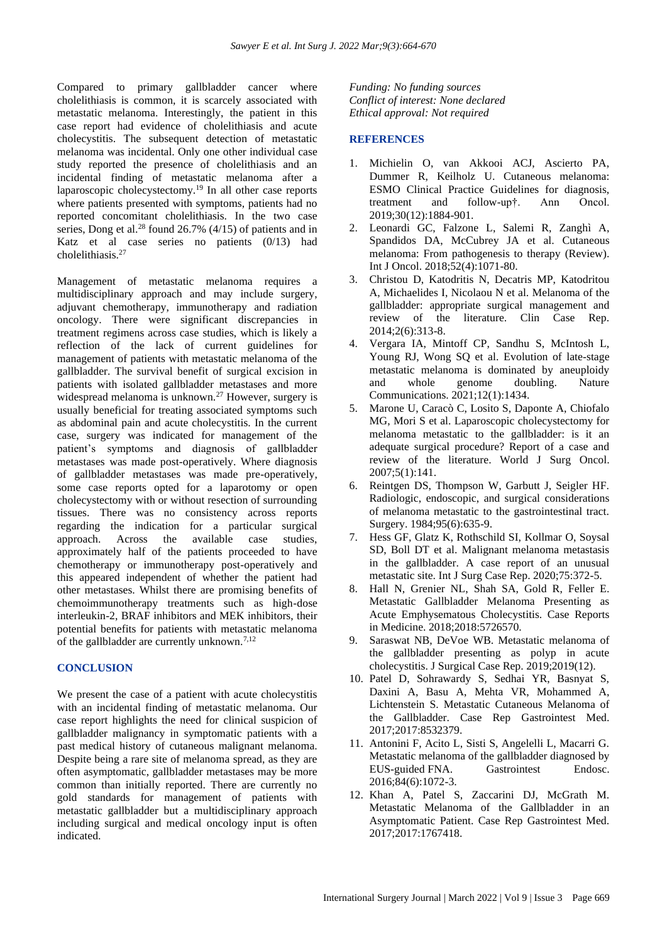Compared to primary gallbladder cancer where cholelithiasis is common, it is scarcely associated with metastatic melanoma. Interestingly, the patient in this case report had evidence of cholelithiasis and acute cholecystitis. The subsequent detection of metastatic melanoma was incidental. Only one other individual case study reported the presence of cholelithiasis and an incidental finding of metastatic melanoma after a laparoscopic cholecystectomy.<sup>19</sup> In all other case reports where patients presented with symptoms, patients had no reported concomitant cholelithiasis. In the two case series. Dong et al.<sup>28</sup> found 26.7%  $(4/15)$  of patients and in Katz et al case series no patients (0/13) had cholelithiasis.<sup>27</sup>

Management of metastatic melanoma requires a multidisciplinary approach and may include surgery, adjuvant chemotherapy, immunotherapy and radiation oncology. There were significant discrepancies in treatment regimens across case studies, which is likely a reflection of the lack of current guidelines for management of patients with metastatic melanoma of the gallbladder. The survival benefit of surgical excision in patients with isolated gallbladder metastases and more widespread melanoma is unknown.<sup>27</sup> However, surgery is usually beneficial for treating associated symptoms such as abdominal pain and acute cholecystitis. In the current case, surgery was indicated for management of the patient's symptoms and diagnosis of gallbladder metastases was made post-operatively. Where diagnosis of gallbladder metastases was made pre-operatively, some case reports opted for a laparotomy or open cholecystectomy with or without resection of surrounding tissues. There was no consistency across reports regarding the indication for a particular surgical approach. Across the available case studies, approximately half of the patients proceeded to have chemotherapy or immunotherapy post-operatively and this appeared independent of whether the patient had other metastases. Whilst there are promising benefits of chemoimmunotherapy treatments such as high-dose interleukin-2, BRAF inhibitors and MEK inhibitors, their potential benefits for patients with metastatic melanoma of the gallbladder are currently unknown.<sup>7,12</sup>

#### **CONCLUSION**

We present the case of a patient with acute cholecystitis with an incidental finding of metastatic melanoma. Our case report highlights the need for clinical suspicion of gallbladder malignancy in symptomatic patients with a past medical history of cutaneous malignant melanoma. Despite being a rare site of melanoma spread, as they are often asymptomatic, gallbladder metastases may be more common than initially reported. There are currently no gold standards for management of patients with metastatic gallbladder but a multidisciplinary approach including surgical and medical oncology input is often indicated.

*Funding: No funding sources Conflict of interest: None declared Ethical approval: Not required*

#### **REFERENCES**

- 1. Michielin O, van Akkooi ACJ, Ascierto PA, Dummer R, Keilholz U. Cutaneous melanoma: ESMO Clinical Practice Guidelines for diagnosis, treatment and follow-up†. Ann Oncol. 2019;30(12):1884-901.
- 2. Leonardi GC, Falzone L, Salemi R, Zanghì A, Spandidos DA, McCubrey JA et al. Cutaneous melanoma: From pathogenesis to therapy (Review). Int J Oncol. 2018;52(4):1071-80.
- 3. Christou D, Katodritis N, Decatris MP, Katodritou A, Michaelides I, Nicolaou N et al. Melanoma of the gallbladder: appropriate surgical management and review of the literature. Clin Case Rep. 2014;2(6):313-8.
- 4. Vergara IA, Mintoff CP, Sandhu S, McIntosh L, Young RJ, Wong SQ et al. Evolution of late-stage metastatic melanoma is dominated by aneuploidy and whole genome doubling. Nature Communications. 2021;12(1):1434.
- 5. Marone U, Caracò C, Losito S, Daponte A, Chiofalo MG, Mori S et al. Laparoscopic cholecystectomy for melanoma metastatic to the gallbladder: is it an adequate surgical procedure? Report of a case and review of the literature. World J Surg Oncol. 2007;5(1):141.
- 6. Reintgen DS, Thompson W, Garbutt J, Seigler HF. Radiologic, endoscopic, and surgical considerations of melanoma metastatic to the gastrointestinal tract. Surgery. 1984;95(6):635-9.
- 7. Hess GF, Glatz K, Rothschild SI, Kollmar O, Soysal SD, Boll DT et al. Malignant melanoma metastasis in the gallbladder. A case report of an unusual metastatic site. Int J Surg Case Rep. 2020;75:372-5.
- 8. Hall N, Grenier NL, Shah SA, Gold R, Feller E. Metastatic Gallbladder Melanoma Presenting as Acute Emphysematous Cholecystitis. Case Reports in Medicine. 2018;2018:5726570.
- 9. Saraswat NB, DeVoe WB. Metastatic melanoma of the gallbladder presenting as polyp in acute cholecystitis. J Surgical Case Rep. 2019;2019(12).
- 10. Patel D, Sohrawardy S, Sedhai YR, Basnyat S, Daxini A, Basu A, Mehta VR, Mohammed A, Lichtenstein S. Metastatic Cutaneous Melanoma of the Gallbladder. Case Rep Gastrointest Med. 2017;2017:8532379.
- 11. Antonini F, Acito L, Sisti S, Angelelli L, Macarri G. Metastatic melanoma of the gallbladder diagnosed by EUS-guided FNA. Gastrointest Endosc. 2016;84(6):1072-3.
- 12. Khan A, Patel S, Zaccarini DJ, McGrath M. Metastatic Melanoma of the Gallbladder in an Asymptomatic Patient. Case Rep Gastrointest Med. 2017;2017:1767418.